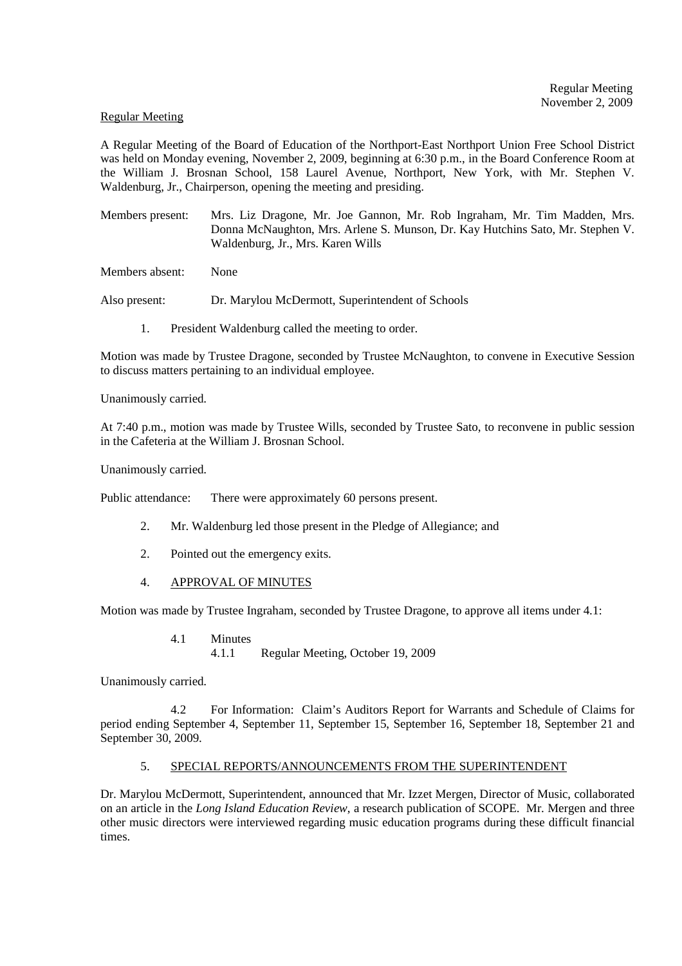## Regular Meeting

A Regular Meeting of the Board of Education of the Northport-East Northport Union Free School District was held on Monday evening, November 2, 2009, beginning at 6:30 p.m., in the Board Conference Room at the William J. Brosnan School, 158 Laurel Avenue, Northport, New York, with Mr. Stephen V. Waldenburg, Jr., Chairperson, opening the meeting and presiding.

Members present: Mrs. Liz Dragone, Mr. Joe Gannon, Mr. Rob Ingraham, Mr. Tim Madden, Mrs. Donna McNaughton, Mrs. Arlene S. Munson, Dr. Kay Hutchins Sato, Mr. Stephen V. Waldenburg, Jr., Mrs. Karen Wills

Members absent: None

Also present: Dr. Marylou McDermott, Superintendent of Schools

1. President Waldenburg called the meeting to order.

Motion was made by Trustee Dragone, seconded by Trustee McNaughton, to convene in Executive Session to discuss matters pertaining to an individual employee.

Unanimously carried.

At 7:40 p.m., motion was made by Trustee Wills, seconded by Trustee Sato, to reconvene in public session in the Cafeteria at the William J. Brosnan School.

Unanimously carried.

Public attendance: There were approximately 60 persons present.

- 2. Mr. Waldenburg led those present in the Pledge of Allegiance; and
- 2. Pointed out the emergency exits.
- 4. APPROVAL OF MINUTES

Motion was made by Trustee Ingraham, seconded by Trustee Dragone, to approve all items under 4.1:

- 4.1 Minutes
	- 4.1.1 Regular Meeting, October 19, 2009

Unanimously carried.

 4.2 For Information: Claim's Auditors Report for Warrants and Schedule of Claims for period ending September 4, September 11, September 15, September 16, September 18, September 21 and September 30, 2009.

## 5. SPECIAL REPORTS/ANNOUNCEMENTS FROM THE SUPERINTENDENT

Dr. Marylou McDermott, Superintendent, announced that Mr. Izzet Mergen, Director of Music, collaborated on an article in the *Long Island Education Review*, a research publication of SCOPE. Mr. Mergen and three other music directors were interviewed regarding music education programs during these difficult financial times.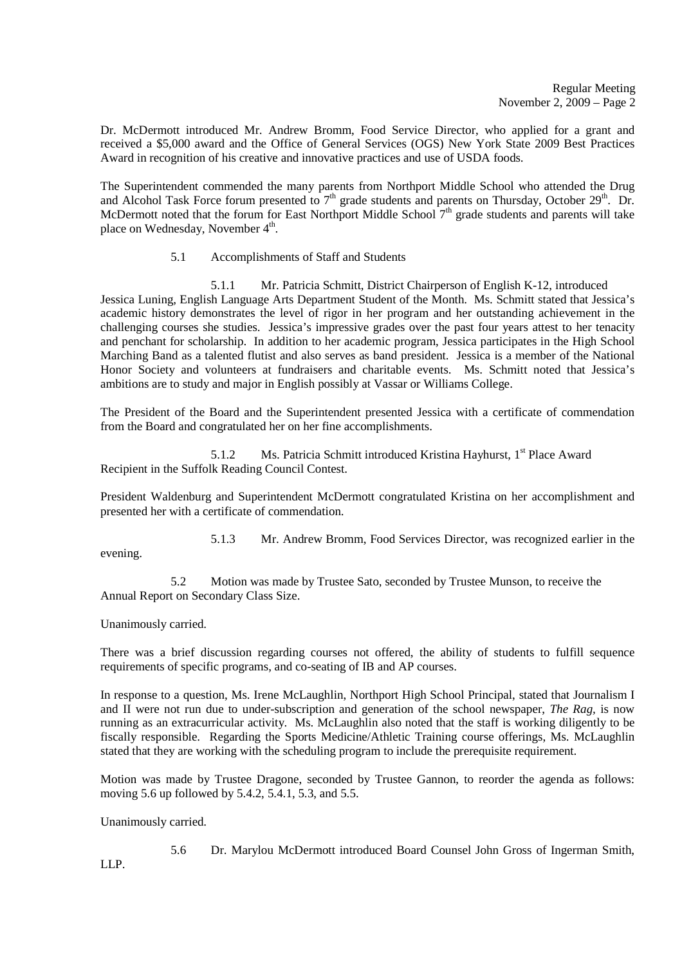Dr. McDermott introduced Mr. Andrew Bromm, Food Service Director, who applied for a grant and received a \$5,000 award and the Office of General Services (OGS) New York State 2009 Best Practices Award in recognition of his creative and innovative practices and use of USDA foods.

The Superintendent commended the many parents from Northport Middle School who attended the Drug and Alcohol Task Force forum presented to 7<sup>th</sup> grade students and parents on Thursday, October 29<sup>th</sup>. Dr. McDermott noted that the forum for East Northport Middle School 7<sup>th</sup> grade students and parents will take place on Wednesday, November 4<sup>th</sup>.

5.1 Accomplishments of Staff and Students

 5.1.1 Mr. Patricia Schmitt, District Chairperson of English K-12, introduced Jessica Luning, English Language Arts Department Student of the Month. Ms. Schmitt stated that Jessica's academic history demonstrates the level of rigor in her program and her outstanding achievement in the challenging courses she studies. Jessica's impressive grades over the past four years attest to her tenacity and penchant for scholarship. In addition to her academic program, Jessica participates in the High School Marching Band as a talented flutist and also serves as band president. Jessica is a member of the National Honor Society and volunteers at fundraisers and charitable events. Ms. Schmitt noted that Jessica's ambitions are to study and major in English possibly at Vassar or Williams College.

The President of the Board and the Superintendent presented Jessica with a certificate of commendation from the Board and congratulated her on her fine accomplishments.

5.1.2 Ms. Patricia Schmitt introduced Kristina Hayhurst, 1<sup>st</sup> Place Award Recipient in the Suffolk Reading Council Contest.

President Waldenburg and Superintendent McDermott congratulated Kristina on her accomplishment and presented her with a certificate of commendation.

5.1.3 Mr. Andrew Bromm, Food Services Director, was recognized earlier in the

5.2 Motion was made by Trustee Sato, seconded by Trustee Munson, to receive the Annual Report on Secondary Class Size.

Unanimously carried.

evening.

There was a brief discussion regarding courses not offered, the ability of students to fulfill sequence requirements of specific programs, and co-seating of IB and AP courses.

In response to a question, Ms. Irene McLaughlin, Northport High School Principal, stated that Journalism I and II were not run due to under-subscription and generation of the school newspaper, *The Rag,* is now running as an extracurricular activity. Ms. McLaughlin also noted that the staff is working diligently to be fiscally responsible. Regarding the Sports Medicine/Athletic Training course offerings, Ms. McLaughlin stated that they are working with the scheduling program to include the prerequisite requirement.

Motion was made by Trustee Dragone, seconded by Trustee Gannon, to reorder the agenda as follows: moving 5.6 up followed by 5.4.2, 5.4.1, 5.3, and 5.5.

Unanimously carried.

5.6 Dr. Marylou McDermott introduced Board Counsel John Gross of Ingerman Smith,

LLP.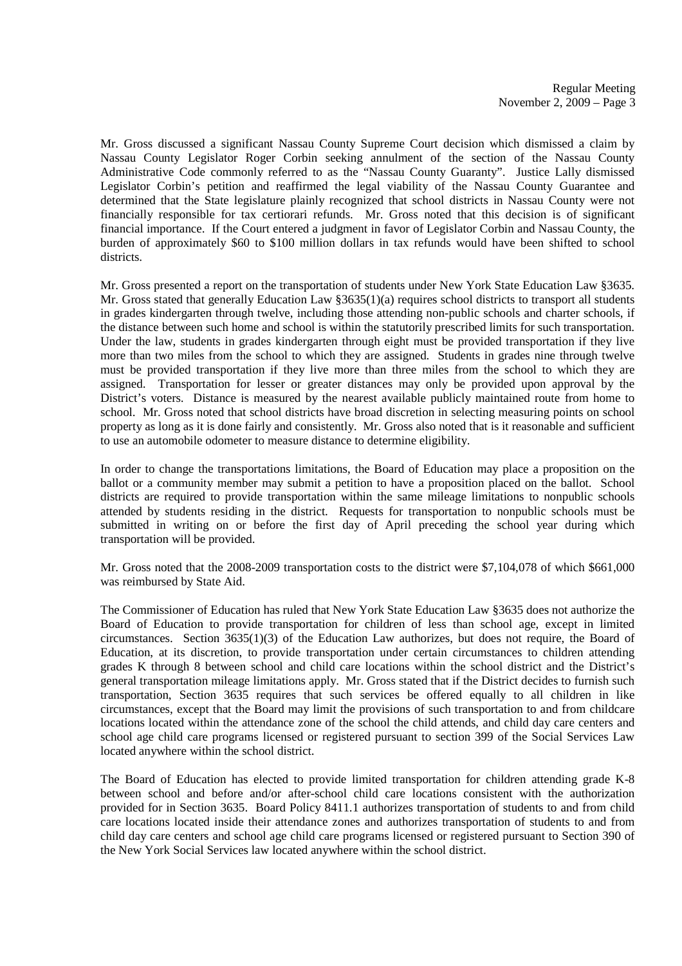Mr. Gross discussed a significant Nassau County Supreme Court decision which dismissed a claim by Nassau County Legislator Roger Corbin seeking annulment of the section of the Nassau County Administrative Code commonly referred to as the "Nassau County Guaranty". Justice Lally dismissed Legislator Corbin's petition and reaffirmed the legal viability of the Nassau County Guarantee and determined that the State legislature plainly recognized that school districts in Nassau County were not financially responsible for tax certiorari refunds. Mr. Gross noted that this decision is of significant financial importance. If the Court entered a judgment in favor of Legislator Corbin and Nassau County, the burden of approximately \$60 to \$100 million dollars in tax refunds would have been shifted to school districts.

Mr. Gross presented a report on the transportation of students under New York State Education Law §3635. Mr. Gross stated that generally Education Law §3635(1)(a) requires school districts to transport all students in grades kindergarten through twelve, including those attending non-public schools and charter schools, if the distance between such home and school is within the statutorily prescribed limits for such transportation. Under the law, students in grades kindergarten through eight must be provided transportation if they live more than two miles from the school to which they are assigned. Students in grades nine through twelve must be provided transportation if they live more than three miles from the school to which they are assigned. Transportation for lesser or greater distances may only be provided upon approval by the District's voters. Distance is measured by the nearest available publicly maintained route from home to school. Mr. Gross noted that school districts have broad discretion in selecting measuring points on school property as long as it is done fairly and consistently. Mr. Gross also noted that is it reasonable and sufficient to use an automobile odometer to measure distance to determine eligibility.

In order to change the transportations limitations, the Board of Education may place a proposition on the ballot or a community member may submit a petition to have a proposition placed on the ballot. School districts are required to provide transportation within the same mileage limitations to nonpublic schools attended by students residing in the district. Requests for transportation to nonpublic schools must be submitted in writing on or before the first day of April preceding the school year during which transportation will be provided.

Mr. Gross noted that the 2008-2009 transportation costs to the district were \$7,104,078 of which \$661,000 was reimbursed by State Aid.

The Commissioner of Education has ruled that New York State Education Law §3635 does not authorize the Board of Education to provide transportation for children of less than school age, except in limited circumstances. Section 3635(1)(3) of the Education Law authorizes, but does not require, the Board of Education, at its discretion, to provide transportation under certain circumstances to children attending grades K through 8 between school and child care locations within the school district and the District's general transportation mileage limitations apply. Mr. Gross stated that if the District decides to furnish such transportation, Section 3635 requires that such services be offered equally to all children in like circumstances, except that the Board may limit the provisions of such transportation to and from childcare locations located within the attendance zone of the school the child attends, and child day care centers and school age child care programs licensed or registered pursuant to section 399 of the Social Services Law located anywhere within the school district.

The Board of Education has elected to provide limited transportation for children attending grade K-8 between school and before and/or after-school child care locations consistent with the authorization provided for in Section 3635. Board Policy 8411.1 authorizes transportation of students to and from child care locations located inside their attendance zones and authorizes transportation of students to and from child day care centers and school age child care programs licensed or registered pursuant to Section 390 of the New York Social Services law located anywhere within the school district.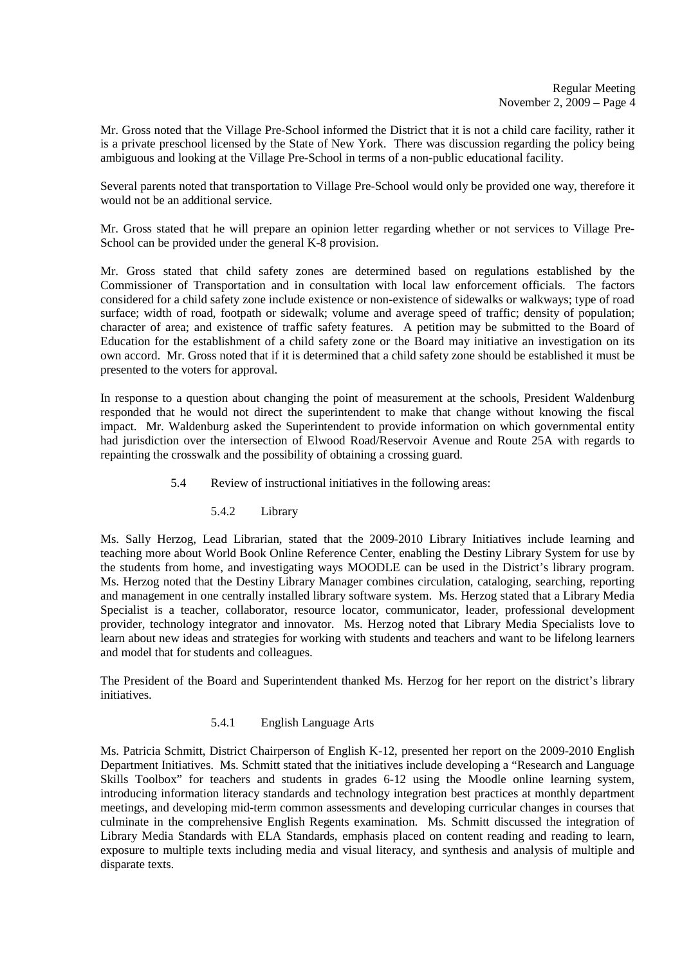Mr. Gross noted that the Village Pre-School informed the District that it is not a child care facility, rather it is a private preschool licensed by the State of New York. There was discussion regarding the policy being ambiguous and looking at the Village Pre-School in terms of a non-public educational facility.

Several parents noted that transportation to Village Pre-School would only be provided one way, therefore it would not be an additional service.

Mr. Gross stated that he will prepare an opinion letter regarding whether or not services to Village Pre-School can be provided under the general K-8 provision.

Mr. Gross stated that child safety zones are determined based on regulations established by the Commissioner of Transportation and in consultation with local law enforcement officials. The factors considered for a child safety zone include existence or non-existence of sidewalks or walkways; type of road surface; width of road, footpath or sidewalk; volume and average speed of traffic; density of population; character of area; and existence of traffic safety features. A petition may be submitted to the Board of Education for the establishment of a child safety zone or the Board may initiative an investigation on its own accord. Mr. Gross noted that if it is determined that a child safety zone should be established it must be presented to the voters for approval.

In response to a question about changing the point of measurement at the schools, President Waldenburg responded that he would not direct the superintendent to make that change without knowing the fiscal impact. Mr. Waldenburg asked the Superintendent to provide information on which governmental entity had jurisdiction over the intersection of Elwood Road/Reservoir Avenue and Route 25A with regards to repainting the crosswalk and the possibility of obtaining a crossing guard.

- 5.4 Review of instructional initiatives in the following areas:
	- 5.4.2 Library

Ms. Sally Herzog, Lead Librarian, stated that the 2009-2010 Library Initiatives include learning and teaching more about World Book Online Reference Center, enabling the Destiny Library System for use by the students from home, and investigating ways MOODLE can be used in the District's library program. Ms. Herzog noted that the Destiny Library Manager combines circulation, cataloging, searching, reporting and management in one centrally installed library software system. Ms. Herzog stated that a Library Media Specialist is a teacher, collaborator, resource locator, communicator, leader, professional development provider, technology integrator and innovator. Ms. Herzog noted that Library Media Specialists love to learn about new ideas and strategies for working with students and teachers and want to be lifelong learners and model that for students and colleagues.

The President of the Board and Superintendent thanked Ms. Herzog for her report on the district's library initiatives.

# 5.4.1 English Language Arts

Ms. Patricia Schmitt, District Chairperson of English K-12, presented her report on the 2009-2010 English Department Initiatives. Ms. Schmitt stated that the initiatives include developing a "Research and Language Skills Toolbox" for teachers and students in grades 6-12 using the Moodle online learning system, introducing information literacy standards and technology integration best practices at monthly department meetings, and developing mid-term common assessments and developing curricular changes in courses that culminate in the comprehensive English Regents examination. Ms. Schmitt discussed the integration of Library Media Standards with ELA Standards, emphasis placed on content reading and reading to learn, exposure to multiple texts including media and visual literacy, and synthesis and analysis of multiple and disparate texts.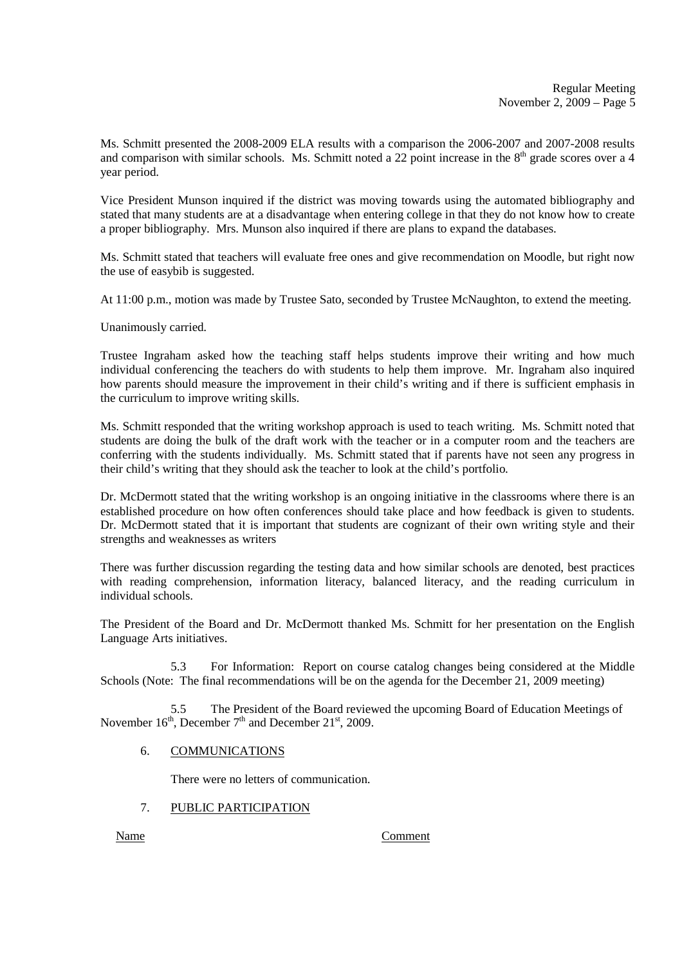Ms. Schmitt presented the 2008-2009 ELA results with a comparison the 2006-2007 and 2007-2008 results and comparison with similar schools. Ms. Schmitt noted a 22 point increase in the  $8<sup>th</sup>$  grade scores over a 4 year period.

Vice President Munson inquired if the district was moving towards using the automated bibliography and stated that many students are at a disadvantage when entering college in that they do not know how to create a proper bibliography. Mrs. Munson also inquired if there are plans to expand the databases.

Ms. Schmitt stated that teachers will evaluate free ones and give recommendation on Moodle, but right now the use of easybib is suggested.

At 11:00 p.m., motion was made by Trustee Sato, seconded by Trustee McNaughton, to extend the meeting.

Unanimously carried.

Trustee Ingraham asked how the teaching staff helps students improve their writing and how much individual conferencing the teachers do with students to help them improve. Mr. Ingraham also inquired how parents should measure the improvement in their child's writing and if there is sufficient emphasis in the curriculum to improve writing skills.

Ms. Schmitt responded that the writing workshop approach is used to teach writing. Ms. Schmitt noted that students are doing the bulk of the draft work with the teacher or in a computer room and the teachers are conferring with the students individually. Ms. Schmitt stated that if parents have not seen any progress in their child's writing that they should ask the teacher to look at the child's portfolio.

Dr. McDermott stated that the writing workshop is an ongoing initiative in the classrooms where there is an established procedure on how often conferences should take place and how feedback is given to students. Dr. McDermott stated that it is important that students are cognizant of their own writing style and their strengths and weaknesses as writers

There was further discussion regarding the testing data and how similar schools are denoted, best practices with reading comprehension, information literacy, balanced literacy, and the reading curriculum in individual schools.

The President of the Board and Dr. McDermott thanked Ms. Schmitt for her presentation on the English Language Arts initiatives.

 5.3 For Information: Report on course catalog changes being considered at the Middle Schools (Note: The final recommendations will be on the agenda for the December 21, 2009 meeting)

5.5 The President of the Board reviewed the upcoming Board of Education Meetings of November  $16<sup>th</sup>$ , December  $7<sup>th</sup>$  and December  $21<sup>st</sup>$ , 2009.

# 6. COMMUNICATIONS

There were no letters of communication.

## 7. PUBLIC PARTICIPATION

Name Comment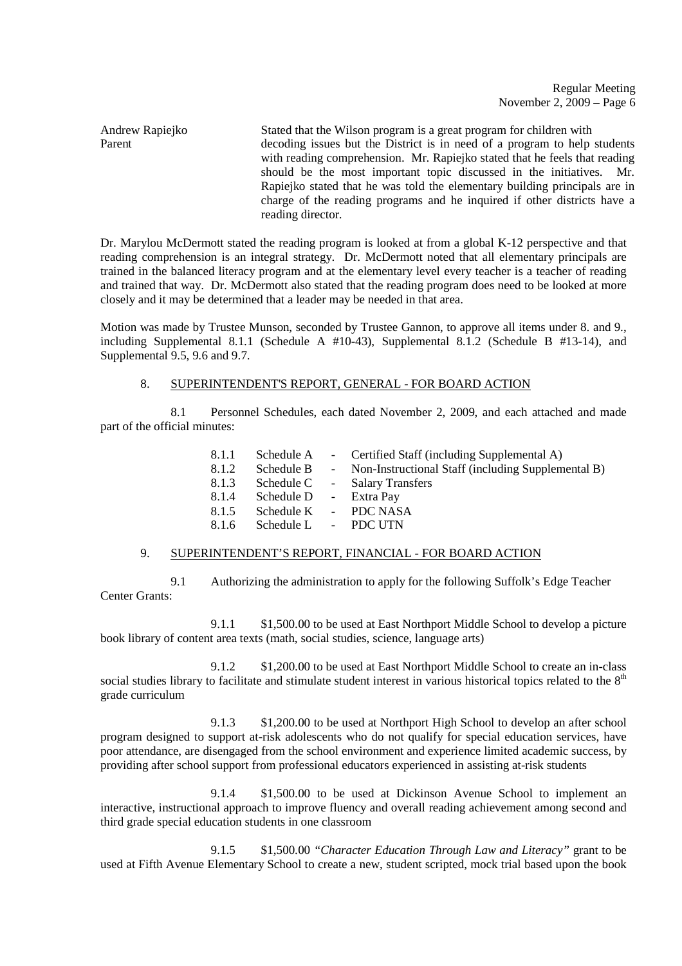Regular Meeting November 2, 2009 – Page 6

Andrew Rapiejko Stated that the Wilson program is a great program for children with Parent decoding issues but the District is in need of a program to help students with reading comprehension. Mr. Rapiejko stated that he feels that reading should be the most important topic discussed in the initiatives. Mr. Rapiejko stated that he was told the elementary building principals are in charge of the reading programs and he inquired if other districts have a reading director.

Dr. Marylou McDermott stated the reading program is looked at from a global K-12 perspective and that reading comprehension is an integral strategy. Dr. McDermott noted that all elementary principals are trained in the balanced literacy program and at the elementary level every teacher is a teacher of reading and trained that way. Dr. McDermott also stated that the reading program does need to be looked at more closely and it may be determined that a leader may be needed in that area.

Motion was made by Trustee Munson, seconded by Trustee Gannon, to approve all items under 8. and 9., including Supplemental 8.1.1 (Schedule A  $#10-43$ ), Supplemental 8.1.2 (Schedule B  $#13-14$ ), and Supplemental 9.5, 9.6 and 9.7.

## 8. SUPERINTENDENT'S REPORT, GENERAL - FOR BOARD ACTION

 8.1 Personnel Schedules, each dated November 2, 2009, and each attached and made part of the official minutes:

| 8.1.1 | Schedule A             | - Certified Staff (including Supplemental A)         |
|-------|------------------------|------------------------------------------------------|
| 8.1.2 | Schedule B             | - Non-Instructional Staff (including Supplemental B) |
| 8.1.3 | Schedule C             | - Salary Transfers                                   |
| 8.1.4 | Schedule D - Extra Pay |                                                      |
| 8.1.5 | Schedule K             | - PDC NASA                                           |
| 8.1.6 | Schedule L - PDC UTN   |                                                      |

### 9. SUPERINTENDENT'S REPORT, FINANCIAL - FOR BOARD ACTION

 9.1 Authorizing the administration to apply for the following Suffolk's Edge Teacher Center Grants:

 9.1.1 \$1,500.00 to be used at East Northport Middle School to develop a picture book library of content area texts (math, social studies, science, language arts)

 9.1.2 \$1,200.00 to be used at East Northport Middle School to create an in-class social studies library to facilitate and stimulate student interest in various historical topics related to the 8<sup>th</sup> grade curriculum

 9.1.3 \$1,200.00 to be used at Northport High School to develop an after school program designed to support at-risk adolescents who do not qualify for special education services, have poor attendance, are disengaged from the school environment and experience limited academic success, by providing after school support from professional educators experienced in assisting at-risk students

 9.1.4 \$1,500.00 to be used at Dickinson Avenue School to implement an interactive, instructional approach to improve fluency and overall reading achievement among second and third grade special education students in one classroom

 9.1.5 \$1,500.00 *"Character Education Through Law and Literacy"* grant to be used at Fifth Avenue Elementary School to create a new, student scripted, mock trial based upon the book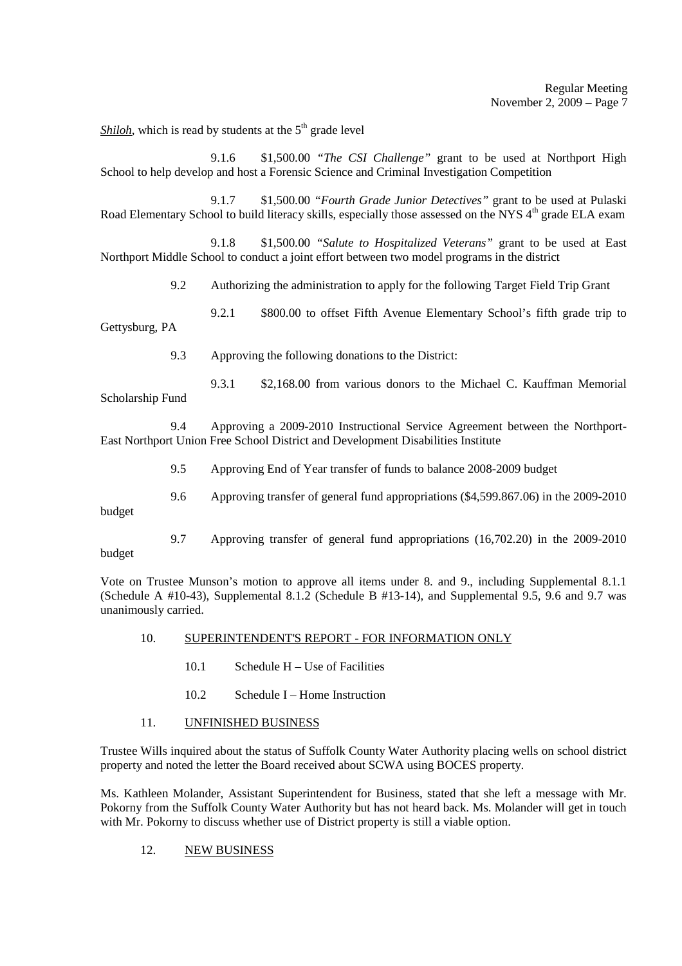*Shiloh*, which is read by students at the  $5<sup>th</sup>$  grade level

 9.1.6 \$1,500.00 *"The CSI Challenge"* grant to be used at Northport High School to help develop and host a Forensic Science and Criminal Investigation Competition

 9.1.7 \$1,500.00 *"Fourth Grade Junior Detectives"* grant to be used at Pulaski Road Elementary School to build literacy skills, especially those assessed on the NYS 4<sup>th</sup> grade ELA exam

 9.1.8 \$1,500.00 *"Salute to Hospitalized Veterans"* grant to be used at East Northport Middle School to conduct a joint effort between two model programs in the district

9.2 Authorizing the administration to apply for the following Target Field Trip Grant

9.2.1 \$800.00 to offset Fifth Avenue Elementary School's fifth grade trip to

Gettysburg, PA

9.3 Approving the following donations to the District:

 9.3.1 \$2,168.00 from various donors to the Michael C. Kauffman Memorial Scholarship Fund

 9.4 Approving a 2009-2010 Instructional Service Agreement between the Northport-East Northport Union Free School District and Development Disabilities Institute

9.5 Approving End of Year transfer of funds to balance 2008-2009 budget

9.6 Approving transfer of general fund appropriations (\$4,599.867.06) in the 2009-2010

budget

 9.7 Approving transfer of general fund appropriations (16,702.20) in the 2009-2010 budget

Vote on Trustee Munson's motion to approve all items under 8. and 9., including Supplemental 8.1.1 (Schedule A #10-43), Supplemental 8.1.2 (Schedule B #13-14), and Supplemental 9.5, 9.6 and 9.7 was unanimously carried.

## 10. SUPERINTENDENT'S REPORT - FOR INFORMATION ONLY

- 10.1 Schedule H Use of Facilities
- 10.2 Schedule I Home Instruction

## 11. UNFINISHED BUSINESS

Trustee Wills inquired about the status of Suffolk County Water Authority placing wells on school district property and noted the letter the Board received about SCWA using BOCES property.

Ms. Kathleen Molander, Assistant Superintendent for Business, stated that she left a message with Mr. Pokorny from the Suffolk County Water Authority but has not heard back. Ms. Molander will get in touch with Mr. Pokorny to discuss whether use of District property is still a viable option.

### 12. NEW BUSINESS